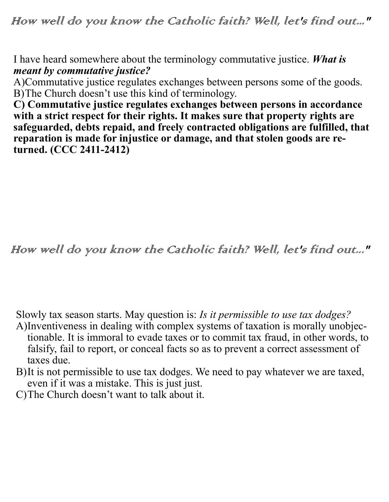How well do you know the Catholic faith? Well, let's find out..."

I have heard somewhere about the terminology commutative justice. *What is meant by commutative justice?*

A)Commutative justice regulates exchanges between persons some of the goods. B)The Church doesn't use this kind of terminology.

**C) Commutative justice regulates exchanges between persons in accordance with a strict respect for their rights. It makes sure that property rights are safeguarded, debts repaid, and freely contracted obligations are fulfilled, that reparation is made for injustice or damage, and that stolen goods are returned. (CCC 2411-2412)**

How well do you know the Catholic faith? Well, let's find out..."

Slowly tax season starts. May question is: *Is it permissible to use tax dodges?*

- A)Inventiveness in dealing with complex systems of taxation is morally unobjectionable. It is immoral to evade taxes or to commit tax fraud, in other words, to falsify, fail to report, or conceal facts so as to prevent a correct assessment of taxes due.
- B)It is not permissible to use tax dodges. We need to pay whatever we are taxed, even if it was a mistake. This is just just.
- C)The Church doesn't want to talk about it.